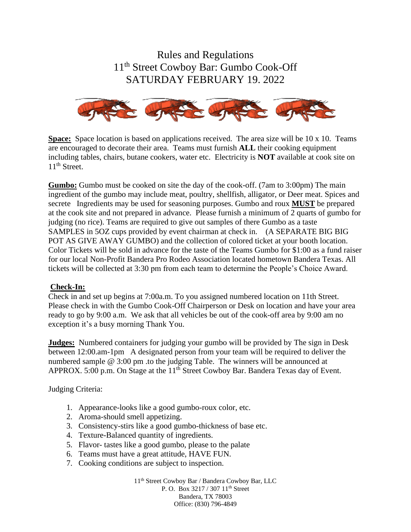Rules and Regulations 11th Street Cowboy Bar: Gumbo Cook-Off SATURDAY FEBRUARY 19. 2022



**Space:** Space location is based on applications received. The area size will be 10 x 10. Teams are encouraged to decorate their area. Teams must furnish **ALL** their cooking equipment including tables, chairs, butane cookers, water etc. Electricity is **NOT** available at cook site on 11<sup>th</sup> Street.

**Gumbo:** Gumbo must be cooked on site the day of the cook-off. (7am to 3:00pm) The main ingredient of the gumbo may include meat, poultry, shellfish, alligator, or Deer meat. Spices and secrete Ingredients may be used for seasoning purposes. Gumbo and roux **MUST** be prepared at the cook site and not prepared in advance. Please furnish a minimum of 2 quarts of gumbo for judging (no rice). Teams are required to give out samples of there Gumbo as a taste SAMPLES in 5OZ cups provided by event chairman at check in. (A SEPARATE BIG BIG POT AS GIVE AWAY GUMBO) and the collection of colored ticket at your booth location. Color Tickets will be sold in advance for the taste of the Teams Gumbo for \$1:00 as a fund raiser for our local Non-Profit Bandera Pro Rodeo Association located hometown Bandera Texas. All tickets will be collected at 3:30 pm from each team to determine the People's Choice Award.

#### **Check-In:**

Check in and set up begins at 7:00a.m. To you assigned numbered location on 11th Street. Please check in with the Gumbo Cook-Off Chairperson or Desk on location and have your area ready to go by 9:00 a.m. We ask that all vehicles be out of the cook-off area by 9:00 am no exception it's a busy morning Thank You.

**Judges:** Numbered containers for judging your gumbo will be provided by The sign in Desk between 12:00.am-1pm A designated person from your team will be required to deliver the numbered sample @ 3:00 pm .to the judging Table. The winners will be announced at APPROX. 5:00 p.m. On Stage at the 11<sup>th</sup> Street Cowboy Bar. Bandera Texas day of Event.

Judging Criteria:

- 1. Appearance-looks like a good gumbo-roux color, etc.
- 2. Aroma-should smell appetizing.
- 3. Consistency-stirs like a good gumbo-thickness of base etc.
- 4. Texture-Balanced quantity of ingredients.
- 5. Flavor- tastes like a good gumbo, please to the palate
- 6. Teams must have a great attitude, HAVE FUN.
- 7. Cooking conditions are subject to inspection.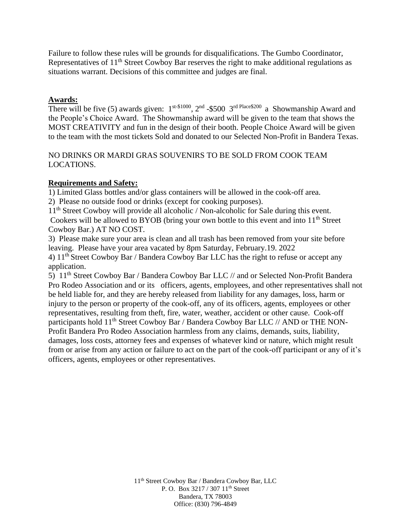Failure to follow these rules will be grounds for disqualifications. The Gumbo Coordinator, Representatives of 11<sup>th</sup> Street Cowboy Bar reserves the right to make additional regulations as situations warrant. Decisions of this committee and judges are final.

#### **Awards:**

There will be five (5) awards given:  $1^{st\text{-$$1000}}$ ,  $2^{nd}$  -\$500  $3^{rd}$  Place\$200 a Showmanship Award and the People's Choice Award. The Showmanship award will be given to the team that shows the MOST CREATIVITY and fun in the design of their booth. People Choice Award will be given to the team with the most tickets Sold and donated to our Selected Non-Profit in Bandera Texas.

### NO DRINKS OR MARDI GRAS SOUVENIRS TO BE SOLD FROM COOK TEAM LOCATIONS.

#### **Requirements and Safety:**

1) Limited Glass bottles and/or glass containers will be allowed in the cook-off area.

2) Please no outside food or drinks (except for cooking purposes).

11<sup>th</sup> Street Cowboy will provide all alcoholic / Non-alcoholic for Sale during this event. Cookers will be allowed to BYOB (bring your own bottle to this event and into 11<sup>th</sup> Street Cowboy Bar.) AT NO COST.

3) Please make sure your area is clean and all trash has been removed from your site before leaving. Please have your area vacated by 8pm Saturday, February.19. 2022

4) 11th Street Cowboy Bar / Bandera Cowboy Bar LLC has the right to refuse or accept any application.

5) 11<sup>th</sup> Street Cowboy Bar / Bandera Cowboy Bar LLC // and or Selected Non-Profit Bandera Pro Rodeo Association and or its officers, agents, employees, and other representatives shall not be held liable for, and they are hereby released from liability for any damages, loss, harm or injury to the person or property of the cook-off, any of its officers, agents, employees or other representatives, resulting from theft, fire, water, weather, accident or other cause. Cook-off participants hold 11<sup>th</sup> Street Cowboy Bar / Bandera Cowboy Bar LLC // AND or THE NON-Profit Bandera Pro Rodeo Association harmless from any claims, demands, suits, liability, damages, loss costs, attorney fees and expenses of whatever kind or nature, which might result from or arise from any action or failure to act on the part of the cook-off participant or any of it's officers, agents, employees or other representatives.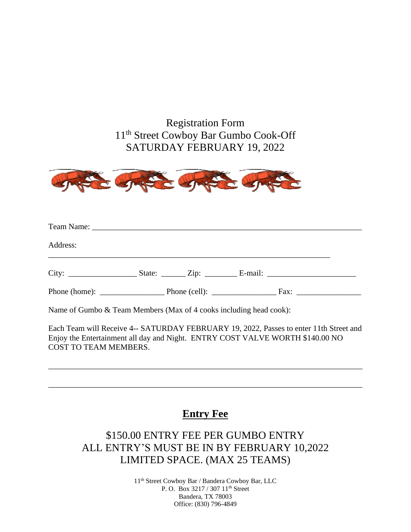## Registration Form 11th Street Cowboy Bar Gumbo Cook-Off SATURDAY FEBRUARY 19, 2022



| Address: |  |  |  |  |  |  |
|----------|--|--|--|--|--|--|
|          |  |  |  |  |  |  |
|          |  |  |  |  |  |  |

Name of Gumbo & Team Members (Max of 4 cooks including head cook):

Each Team will Receive 4-- SATURDAY FEBRUARY 19, 2022, Passes to enter 11th Street and Enjoy the Entertainment all day and Night. ENTRY COST VALVE WORTH \$140.00 NO COST TO TEAM MEMBERS.

\_\_\_\_\_\_\_\_\_\_\_\_\_\_\_\_\_\_\_\_\_\_\_\_\_\_\_\_\_\_\_\_\_\_\_\_\_\_\_\_\_\_\_\_\_\_\_\_\_\_\_\_\_\_\_\_\_\_\_\_\_\_\_\_\_\_\_\_\_\_\_\_\_\_\_\_\_\_

\_\_\_\_\_\_\_\_\_\_\_\_\_\_\_\_\_\_\_\_\_\_\_\_\_\_\_\_\_\_\_\_\_\_\_\_\_\_\_\_\_\_\_\_\_\_\_\_\_\_\_\_\_\_\_\_\_\_\_\_\_\_\_\_\_\_\_\_\_\_\_\_\_\_\_\_\_\_

### **Entry Fee**

# \$150.00 ENTRY FEE PER GUMBO ENTRY ALL ENTRY'S MUST BE IN BY FEBRUARY 10,2022 LIMITED SPACE. (MAX 25 TEAMS)